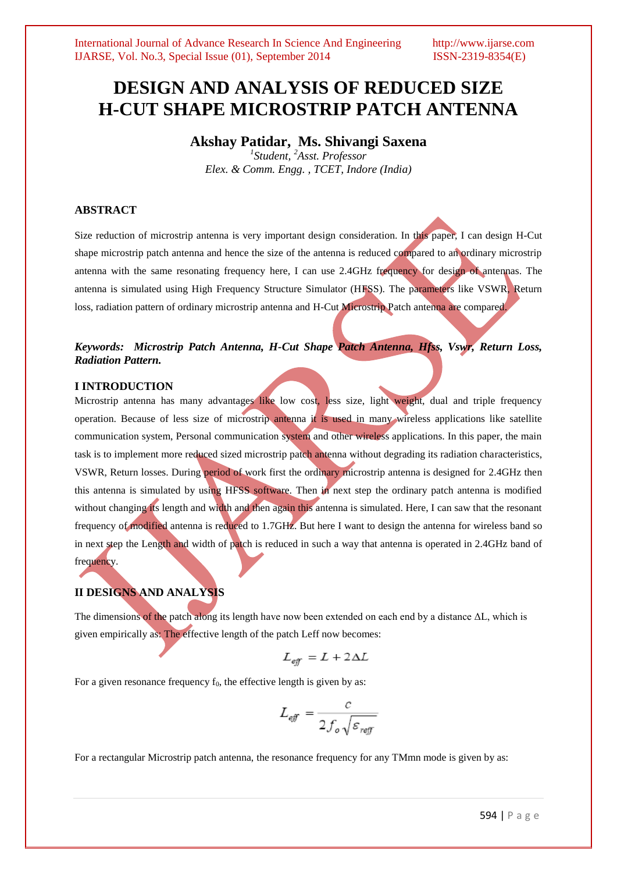# **DESIGN AND ANALYSIS OF REDUCED SIZE H-CUT SHAPE MICROSTRIP PATCH ANTENNA**

**Akshay Patidar, Ms. Shivangi Saxena**

*1 Student, <sup>2</sup>Asst. Professor Elex. & Comm. Engg. , TCET, Indore (India)*

# **ABSTRACT**

Size reduction of microstrip antenna is very important design consideration. In this paper, I can design H-Cut shape microstrip patch antenna and hence the size of the antenna is reduced compared to an ordinary microstrip antenna with the same resonating frequency here, I can use 2.4GHz frequency for design of antennas. The antenna is simulated using High Frequency Structure Simulator (HFSS). The parameters like VSWR, Return loss, radiation pattern of ordinary microstrip antenna and H-Cut Microstrip Patch antenna are compared.

# *Keywords: Microstrip Patch Antenna, H-Cut Shape Patch Antenna, Hfss, Vswr, Return Loss, Radiation Pattern.*

#### **I INTRODUCTION**

Microstrip antenna has many advantages like low cost, less size, light weight, dual and triple frequency operation. Because of less size of microstrip antenna it is used in many wireless applications like satellite communication system, Personal communication system and other wireless applications. In this paper, the main task is to implement more reduced sized microstrip patch antenna without degrading its radiation characteristics, VSWR, Return losses. During period of work first the ordinary microstrip antenna is designed for 2.4GHz then this antenna is simulated by using HFSS software. Then in next step the ordinary patch antenna is modified without changing its length and width and then again this antenna is simulated. Here, I can saw that the resonant frequency of modified antenna is reduced to 1.7GHz. But here I want to design the antenna for wireless band so in next step the Length and width of patch is reduced in such a way that antenna is operated in 2.4GHz band of frequency.

# **II DESIGNS AND ANALYSIS**

The dimensions of the patch along its length have now been extended on each end by a distance  $\Delta L$ , which is given empirically as: The effective length of the patch Leff now becomes:

$$
L_{\text{eff}} = L + 2\Delta L
$$

For a given resonance frequency  $f_0$ , the effective length is given by as:

$$
L_{\text{eff}} = \frac{c}{2f_o\sqrt{\varepsilon_{\text{reff}}}}
$$

For a rectangular Microstrip patch antenna, the resonance frequency for any TMmn mode is given by as: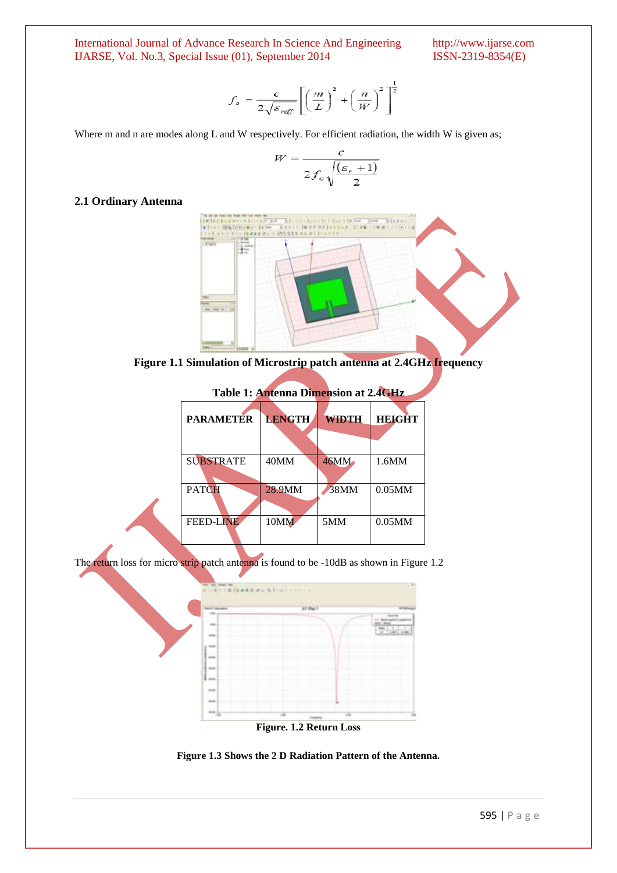International Journal of Advance Research In Science And Engineering http://www.ijarse.com IJARSE, Vol. No.3, Special Issue (01), September 2014 ISSN-2319-8354(E) IJARSE, Vol. No.3, Special Issue (01), September 2014

$$
f_o = \frac{c}{2\sqrt{\varepsilon_{\text{reff}}}} \left[ \left(\frac{m}{L}\right)^2 + \left(\frac{n}{W}\right)^2 \right]^{\frac{1}{2}}
$$

Where m and n are modes along L and W respectively. For efficient radiation, the width W is given as;

$$
W = \frac{c}{2f_o\sqrt{\frac{(\varepsilon_r + 1)}{2}}}
$$

#### **2.1 Ordinary Antenna**



**Figure 1.1 Simulation of Microstrip patch antenna at 2.4GHz frequency**

| Table 1: Antenna Dimension at 2.4GHz |               |              |               |
|--------------------------------------|---------------|--------------|---------------|
| <b>PARAMETER</b>                     | <b>LENGTH</b> | <b>WIDTH</b> | <b>HEIGHT</b> |
|                                      |               |              |               |
| <b>SUBSTRATE</b>                     | 40MM          | 46MM         | 1.6MM         |
| <b>PATCH</b>                         | 28.9MM        | 38MM         | $0.05$ MM     |
| <b>FEED-LINE</b>                     | 10MM          | 5MM          | $0.05$ MM     |

The return loss for micro strip patch antenna is found to be -10dB as shown in Figure 1.2



**Figure 1.3 Shows the 2 D Radiation Pattern of the Antenna.**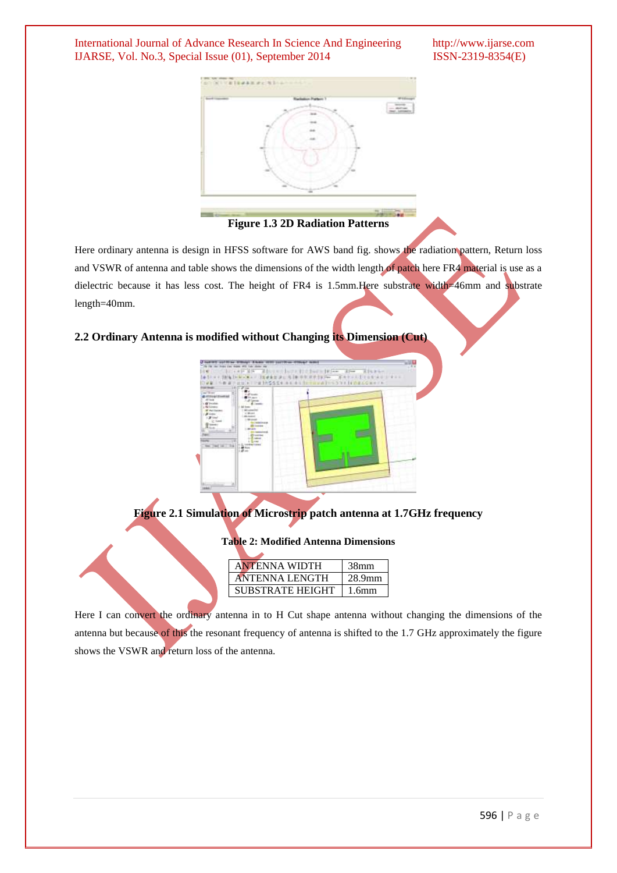International Journal of Advance Research In Science And Engineering http://www.ijarse.com IJARSE, Vol. No.3, Special Issue (01), September 2014 ISSN-2319-8354(E)



**Figure 1.3 2D Radiation Patterns**

Here ordinary antenna is design in HFSS software for AWS band fig. shows the radiation pattern, Return loss and VSWR of antenna and table shows the dimensions of the width length of patch here FR4 material is use as a dielectric because it has less cost. The height of FR4 is 1.5mm. Here substrate width=46mm and substrate length=40mm.

# **2.2 Ordinary Antenna is modified without Changing its Dimension (Cut)**



**Figure 2.1 Simulation of Microstrip patch antenna at 1.7GHz frequency**

### **Table 2: Modified Antenna Dimensions**

| <b>ANTENNA WIDTH</b>    | 38 <sub>mm</sub>  |
|-------------------------|-------------------|
| <b>ANTENNA LENGTH</b>   | 28.9mm            |
| <b>SUBSTRATE HEIGHT</b> | 1.6 <sub>mm</sub> |

Here I can convert the ordinary antenna in to H Cut shape antenna without changing the dimensions of the antenna but because of this the resonant frequency of antenna is shifted to the 1.7 GHz approximately the figure shows the VSWR and return loss of the antenna.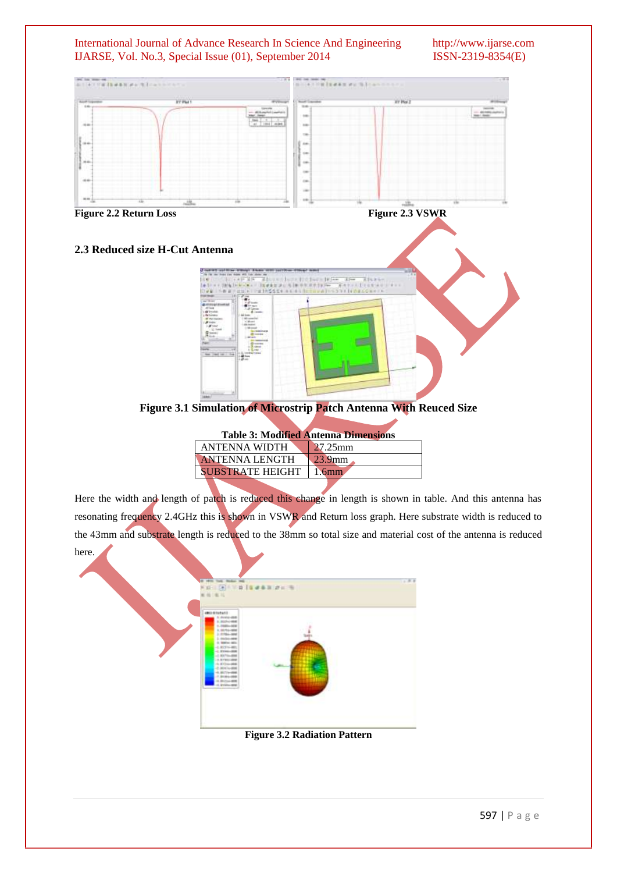#### International Journal of Advance Research In Science And Engineering http://www.ijarse.com IJARSE, Vol. No.3, Special Issue (01), September 2014 ISSN-2319-8354(E)



| <b>Table 3: Modified Antenna Dimensions</b> |            |  |  |
|---------------------------------------------|------------|--|--|
| <b>ANTENNA WIDTH</b>                        | $27.25$ mm |  |  |
| <b>ANTENNA LENGTH</b>                       | $23.9$ mm  |  |  |
| <b>SUBSTRATE HEIGHT</b>                     |            |  |  |
|                                             |            |  |  |

Here the width and length of patch is reduced this change in length is shown in table. And this antenna has resonating frequency 2.4GHz this is shown in VSWR and Return loss graph. Here substrate width is reduced to the 43mm and substrate length is reduced to the 38mm so total size and material cost of the antenna is reduced